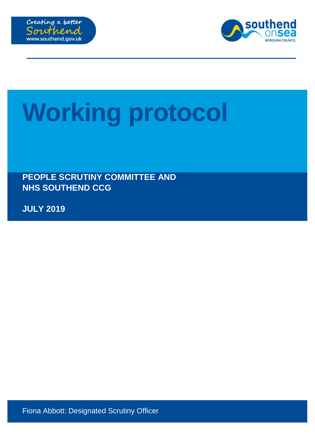



# **Working protocol**

**PEOPLE SCRUTINY COMMITTEE AND NHS SOUTHEND CCG**

**JULY 2019**

Fiona Abbott: Designated Scrutiny Officer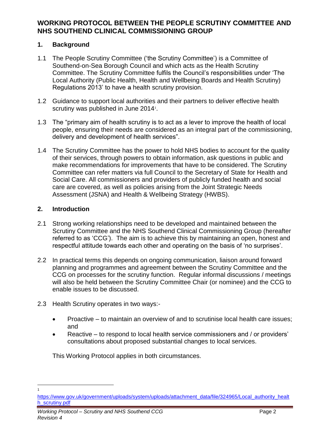### **1. Background**

- 1.1 The People Scrutiny Committee ('the Scrutiny Committee') is a Committee of Southend-on-Sea Borough Council and which acts as the Health Scrutiny Committee. The Scrutiny Committee fulfils the Council's responsibilities under 'The Local Authority (Public Health, Health and Wellbeing Boards and Health Scrutiny) Regulations 2013' to have a health scrutiny provision.
- 1.2 Guidance to support local authorities and their partners to deliver effective health scrutiny was published in June 2014<sup>1</sup>.
- 1.3 The "primary aim of health scrutiny is to act as a lever to improve the health of local people, ensuring their needs are considered as an integral part of the commissioning, delivery and development of health services".
- 1.4 The Scrutiny Committee has the power to hold NHS bodies to account for the quality of their services, through powers to obtain information, ask questions in public and make recommendations for improvements that have to be considered. The Scrutiny Committee can refer matters via full Council to the Secretary of State for Health and Social Care. All commissioners and providers of publicly funded health and social care are covered, as well as policies arising from the Joint Strategic Needs Assessment (JSNA) and Health & Wellbeing Strategy (HWBS).

## **2. Introduction**

 $\overline{a}$ 1

- 2.1 Strong working relationships need to be developed and maintained between the Scrutiny Committee and the NHS Southend Clinical Commissioning Group (hereafter referred to as 'CCG'). The aim is to achieve this by maintaining an open, honest and respectful attitude towards each other and operating on the basis of 'no surprises'.
- 2.2 In practical terms this depends on ongoing communication, liaison around forward planning and programmes and agreement between the Scrutiny Committee and the CCG on processes for the scrutiny function. Regular informal discussions / meetings will also be held between the Scrutiny Committee Chair (or nominee) and the CCG to enable issues to be discussed.
- 2.3 Health Scrutiny operates in two ways:-
	- Proactive to maintain an overview of and to scrutinise local health care issues; and
	- Reactive to respond to local health service commissioners and / or providers' consultations about proposed substantial changes to local services.

This Working Protocol applies in both circumstances.

[https://www.gov.uk/government/uploads/system/uploads/attachment\\_data/file/324965/Local\\_authority\\_healt](https://www.gov.uk/government/uploads/system/uploads/attachment_data/file/324965/Local_authority_health_scrutiny.pdf) [h\\_scrutiny.pdf](https://www.gov.uk/government/uploads/system/uploads/attachment_data/file/324965/Local_authority_health_scrutiny.pdf)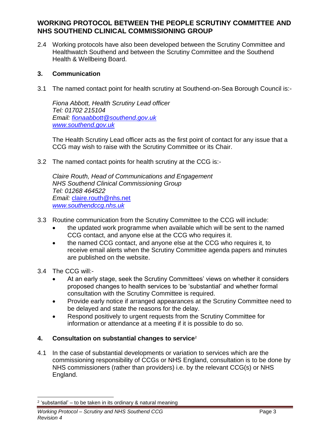2.4 Working protocols have also been developed between the Scrutiny Committee and Healthwatch Southend and between the Scrutiny Committee and the Southend Health & Wellbeing Board.

#### **3. Communication**

3.1 The named contact point for health scrutiny at Southend-on-Sea Borough Council is:-

*Fiona Abbott, Health Scrutiny Lead officer Tel: 01702 215104 Email: [fionaabbott@southend.gov.uk](mailto:fionaabbott@southend.gov.uk) [www.southend.gov.uk](http://www.southend.gov.uk/)*

The Health Scrutiny Lead officer acts as the first point of contact for any issue that a CCG may wish to raise with the Scrutiny Committee or its Chair.

3.2 The named contact points for health scrutiny at the CCG is:-

*Claire Routh, Head of Communications and Engagement NHS Southend Clinical Commissioning Group Tel: 01268 464522 Email:* [claire.routh@nhs.net](mailto:claire.routh@nhs.net) *[www.southendccg.nhs.uk](http://www.southendccg.nhs.uk/)*

- 3.3 Routine communication from the Scrutiny Committee to the CCG will include:
	- the updated work programme when available which will be sent to the named CCG contact, and anyone else at the CCG who requires it.
	- the named CCG contact, and anyone else at the CCG who requires it, to receive email alerts when the Scrutiny Committee agenda papers and minutes are published on the website.
- 3.4 The CCG will:-
	- At an early stage, seek the Scrutiny Committees' views on whether it considers proposed changes to health services to be 'substantial' and whether formal consultation with the Scrutiny Committee is required.
	- Provide early notice if arranged appearances at the Scrutiny Committee need to be delayed and state the reasons for the delay.
	- Respond positively to urgent requests from the Scrutiny Committee for information or attendance at a meeting if it is possible to do so.

#### **4. Consultation on substantial changes to service<sup>2</sup>**

4.1 In the case of substantial developments or variation to services which are the commissioning responsibility of CCGs or NHS England, consultation is to be done by NHS commissioners (rather than providers) i.e. by the relevant CCG(s) or NHS England.

<sup>-</sup>2 'substantial' – to be taken in its ordinary & natural meaning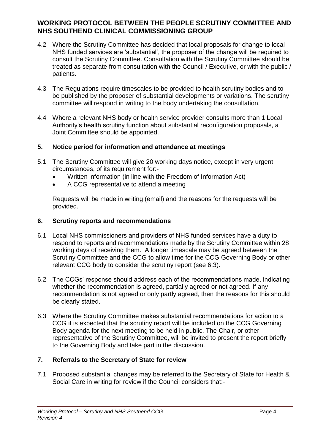- 4.2 Where the Scrutiny Committee has decided that local proposals for change to local NHS funded services are 'substantial', the proposer of the change will be required to consult the Scrutiny Committee. Consultation with the Scrutiny Committee should be treated as separate from consultation with the Council / Executive, or with the public / patients.
- 4.3 The Regulations require timescales to be provided to health scrutiny bodies and to be published by the proposer of substantial developments or variations. The scrutiny committee will respond in writing to the body undertaking the consultation.
- 4.4 Where a relevant NHS body or health service provider consults more than 1 Local Authority's health scrutiny function about substantial reconfiguration proposals, a Joint Committee should be appointed.

#### **5. Notice period for information and attendance at meetings**

- 5.1 The Scrutiny Committee will give 20 working days notice, except in very urgent circumstances, of its requirement for:-
	- Written information (in line with the Freedom of Information Act)
	- A CCG representative to attend a meeting

Requests will be made in writing (email) and the reasons for the requests will be provided.

### **6. Scrutiny reports and recommendations**

- 6.1 Local NHS commissioners and providers of NHS funded services have a duty to respond to reports and recommendations made by the Scrutiny Committee within 28 working days of receiving them. A longer timescale may be agreed between the Scrutiny Committee and the CCG to allow time for the CCG Governing Body or other relevant CCG body to consider the scrutiny report (see 6.3).
- 6.2 The CCGs' response should address each of the recommendations made, indicating whether the recommendation is agreed, partially agreed or not agreed. If any recommendation is not agreed or only partly agreed, then the reasons for this should be clearly stated.
- 6.3 Where the Scrutiny Committee makes substantial recommendations for action to a CCG it is expected that the scrutiny report will be included on the CCG Governing Body agenda for the next meeting to be held in public. The Chair, or other representative of the Scrutiny Committee, will be invited to present the report briefly to the Governing Body and take part in the discussion.

## **7. Referrals to the Secretary of State for review**

7.1 Proposed substantial changes may be referred to the Secretary of State for Health & Social Care in writing for review if the Council considers that:-